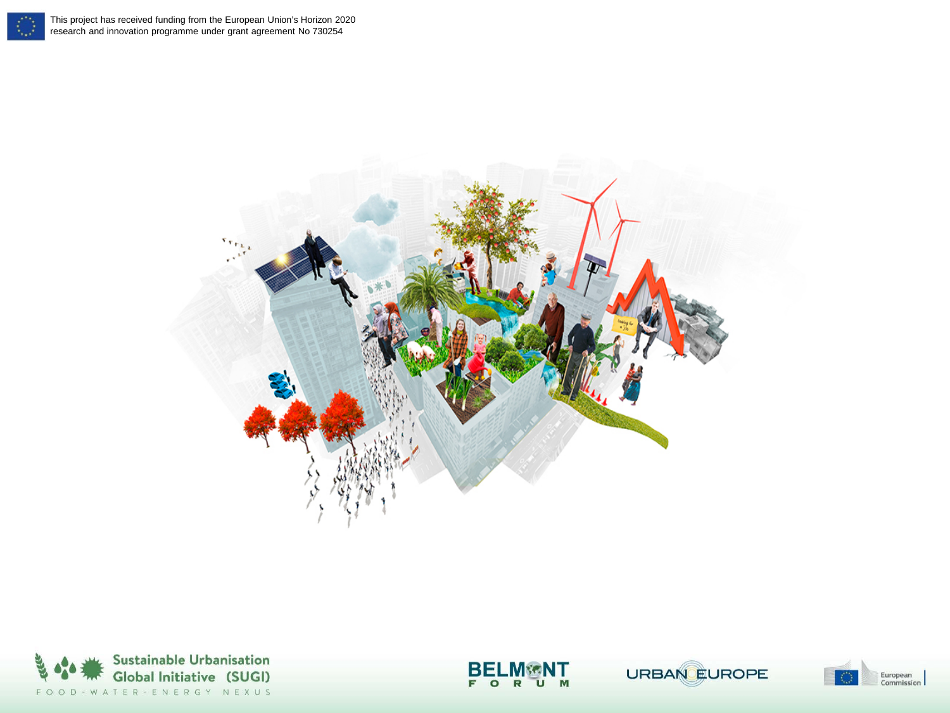







URBAN EUROPE

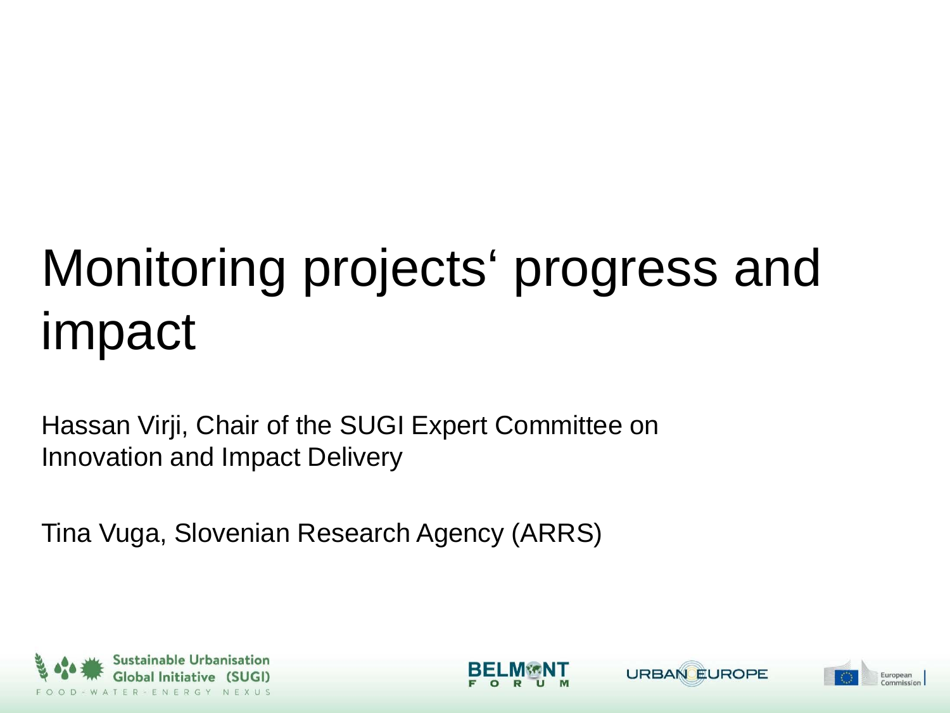# Monitoring projects' progress and impact

Hassan Virji, Chair of the SUGI Expert Committee on Innovation and Impact Delivery

Tina Vuga, Slovenian Research Agency (ARRS)







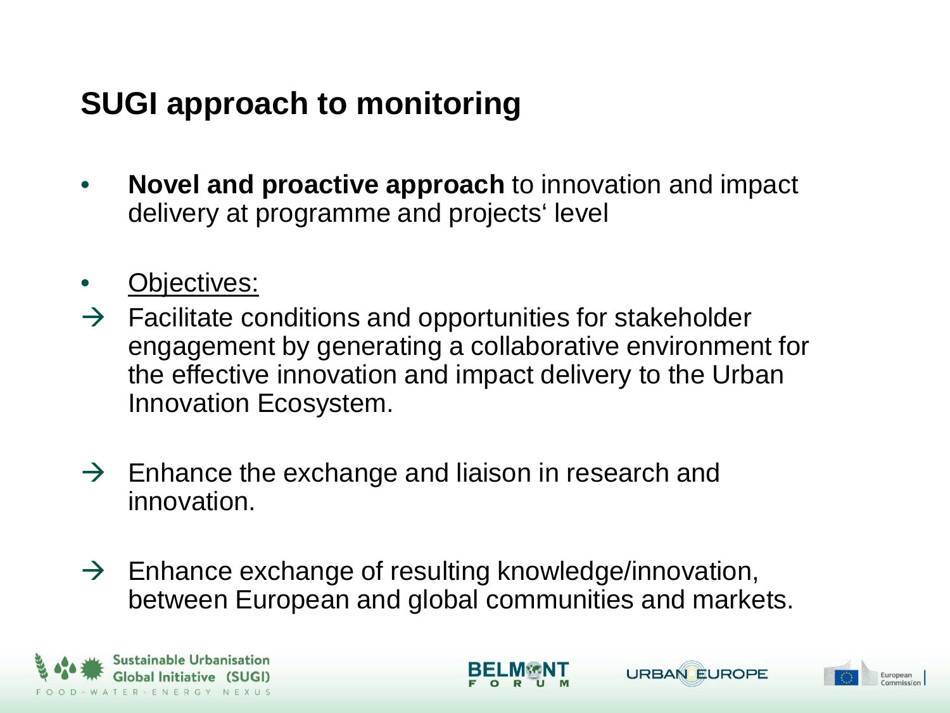## **SUGI approach to monitoring**

- **Novel and proactive approach** to innovation and impact delivery at programme and projects' level
- Objectives:
- $\rightarrow$  Facilitate conditions and opportunities for stakeholder engagement by generating a collaborative environment for the effective innovation and impact delivery to the Urban Innovation Ecosystem.
- $\rightarrow$  Enhance the exchange and liaison in research and innovation.
- $\rightarrow$  Enhance exchange of resulting knowledge/innovation, between European and global communities and markets.



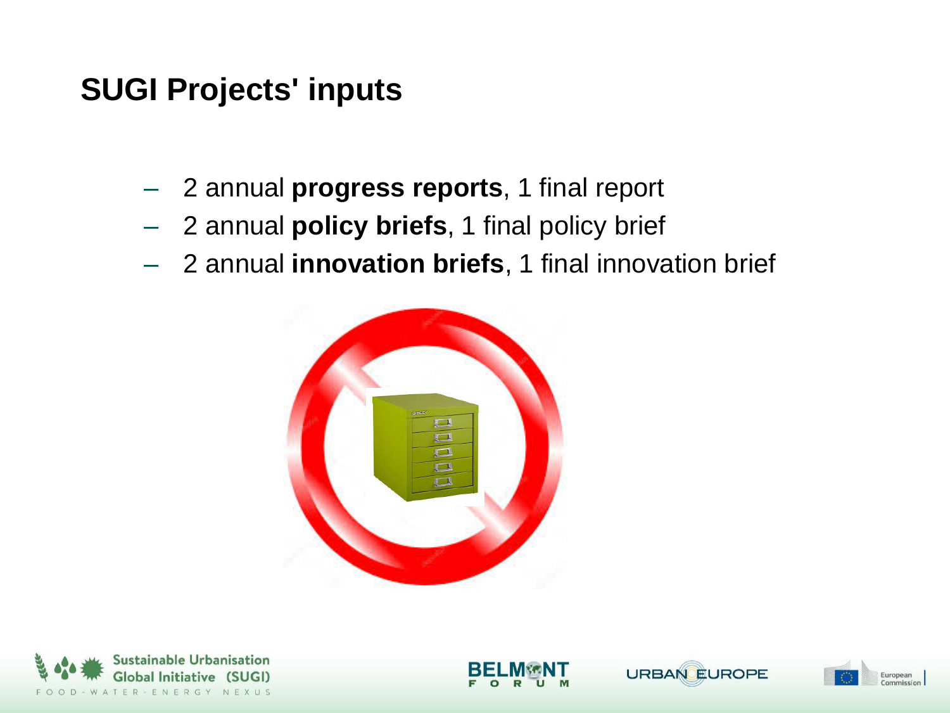#### **SUGI Projects' inputs**

- 2 annual **progress reports**, 1 final report
- 2 annual **policy briefs**, 1 final policy brief
- 2 annual **innovation briefs**, 1 final innovation brief







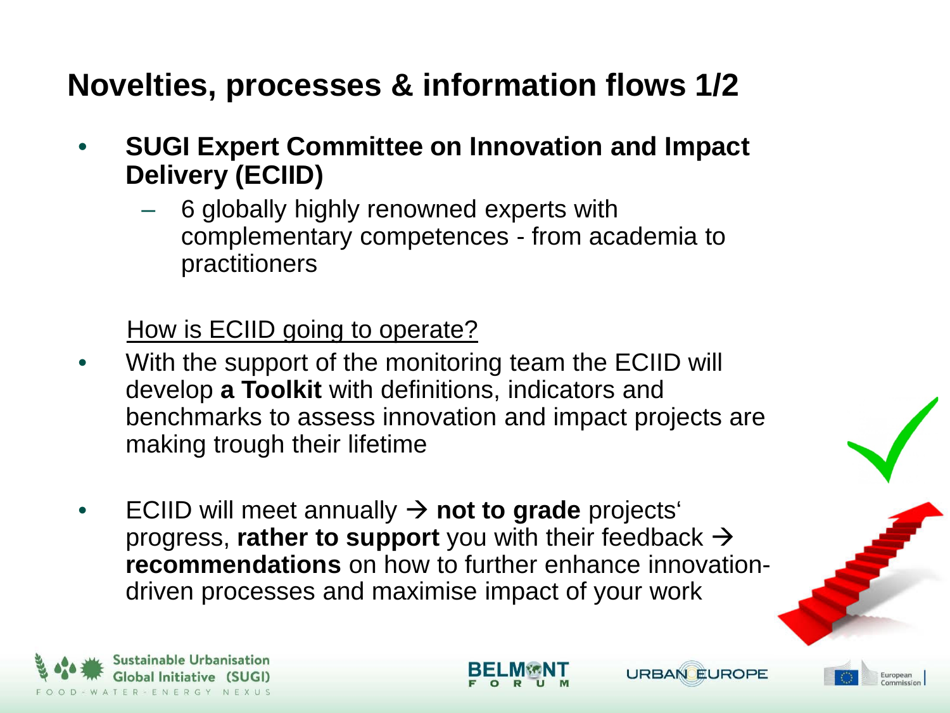# **Novelties, processes & information flows 1/2**

- **SUGI Expert Committee on Innovation and Impact Delivery (ECIID)**
	- 6 globally highly renowned experts with complementary competences - from academia to practitioners

How is ECIID going to operate?

- With the support of the monitoring team the ECIID will develop **a Toolkit** with definitions, indicators and benchmarks to assess innovation and impact projects are making trough their lifetime
- $\text{ECID}$  will meet annually  $\rightarrow$  not to grade projects<sup>4</sup> progress, **rather to support** you with their feedback  $\rightarrow$ **recommendations** on how to further enhance innovationdriven processes and maximise impact of your work



**URBAN EUROPE** 

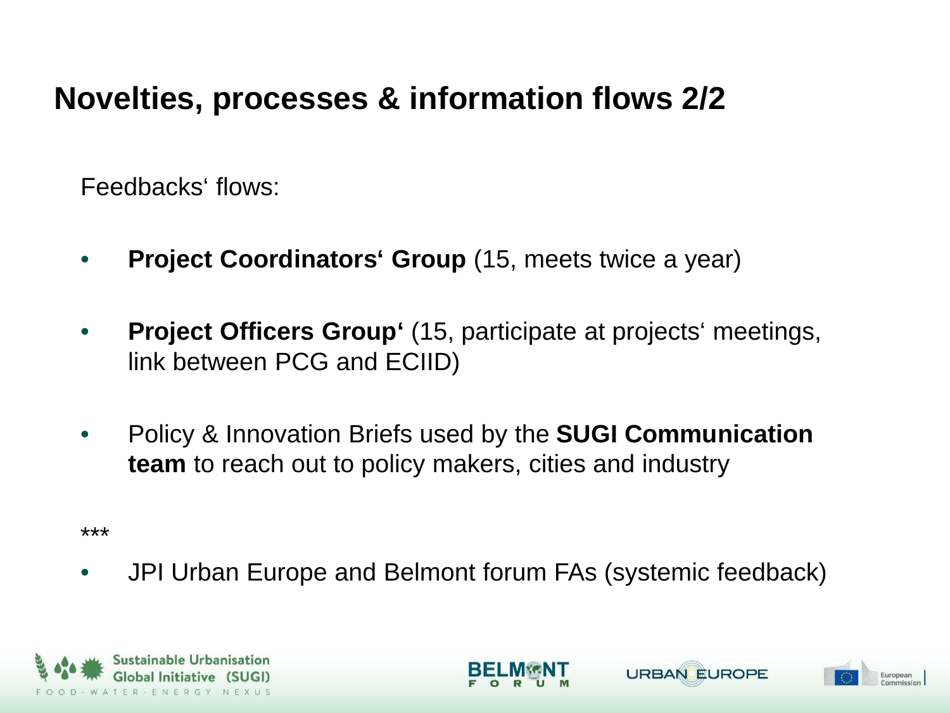### **Novelties, processes & information flows 2/2**

Feedbacks' flows:

- **Project Coordinators' Group** (15, meets twice a year)
- **Project Officers Group'** (15, participate at projects' meetings, link between PCG and ECIID)
- Policy & Innovation Briefs used by the **SUGI Communication team** to reach out to policy makers, cities and industry

\*\*\*

• JPI Urban Europe and Belmont forum FAs (systemic feedback)





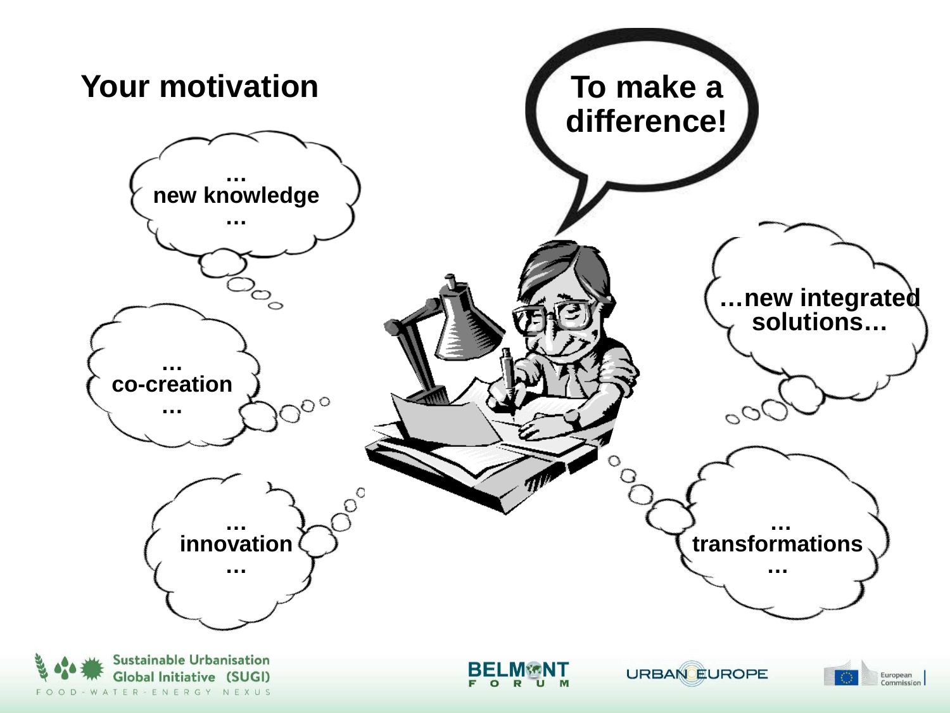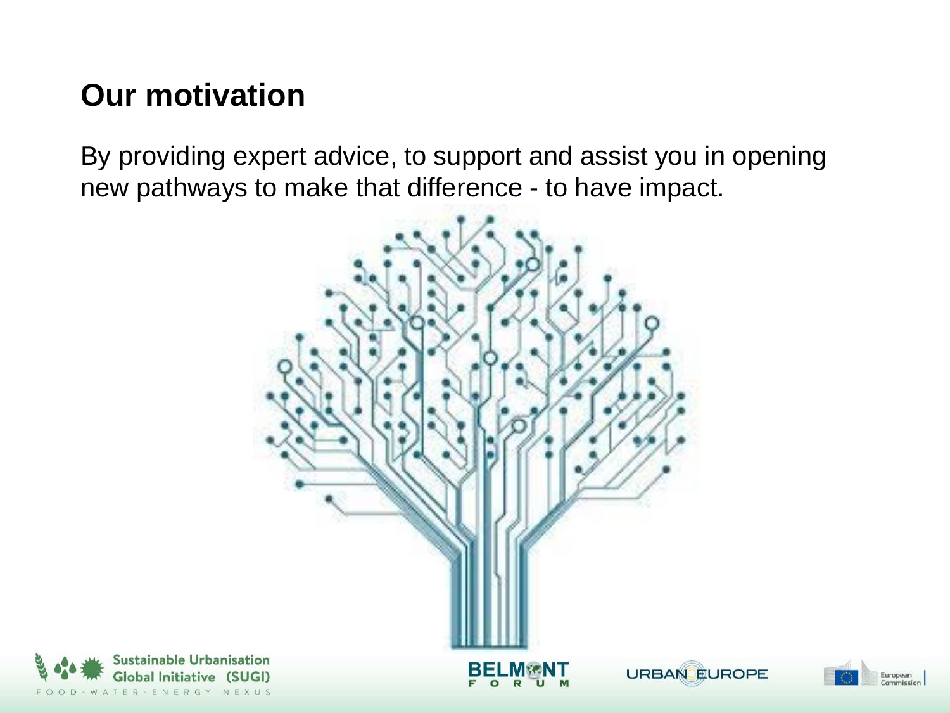## **Our motivation**

By providing expert advice, to support and assist you in opening new pathways to make that difference - to have impact.



European Commission